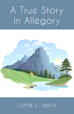# A True Story in Allegory



# Lottie L. Jarvis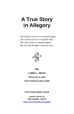# **A True Story in Allegory**

The Truth in love we e'er should speak, The Good of all we e'er should seek; The sins of men we should oppose But not with thought to hurt our foes.



**By** 

**Lottie L. Jarvis** 

**Missionary to India**

**(First Published about 1920)**

**FAITH PUBLISHING HOUSE**

*Digitally Published by* **THE GOSPEL TRUTH [www.churchofgodeveninglight](www.churchofgodeveninglight.com)**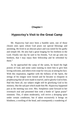# **Chapter I**

# **Hypocrisy's Visit to the Great Camp**

Mr. Hypocrisy had once been a humble saint, one of those chosen ones upon whom God pours out special blessings and anointing. He lived in an obscure place and was noted for his godly and simple life. He also had a great longing for his brethren in the Lord. Finally one day he said to his friends, "Let me go unto my brethren, that I may enjoy their fellowship and be refreshed by them."

As he approached the camp of the saints, he heard the high praises of God, and some came running to meet him to give him loving welcome, and others even wept for very joy at seeing his face. With this inspiration, together with the fullness of the Spirit, the strings of his tongue were loosed and he became so eloquent in prophesying that all were made to marvel, and to glorify God in him. Had this been all, our subject might still be glorifying God in his ministry. But the sad part which made him Mr. Hypocrisy happened just as the meeting was over. Mrs. Simpleton came forward in her overmuch zeal and presented him with a bottle of "great praise" ointment. This, if taken moderately, will revive a drooping spirit under certain conditions; but if taken excessively it brings on blindness, a swelling of the head, and consequently a wandering of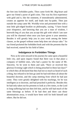the feet into forbidden paths. Then came forth Mr. Big-heart and gave our friend a purse of gold coins. This was his first experience with gold and it, like the ointment, if immoderately administered, creates an appetite for itself, and leads into by-paths. Then just outside the camp came Mr. Worldly-wise and presented him with a neat little gilt-edged booklet on philosophy, saying, "I have heard your eloquence, and knowing that you are a man of wisdom, I herewith beg of you that you accept this gift with which I am sure you will be charmed when once you have given it your attention. Besides it will greatly help you in your work among the better classes, as the gospel without some help does not always take." So our friend pocketed the forbidden book and with the presents that he had received, started for his field of labor.

# **Indulgence in Forbidden Things**

Now as he went onward in his journey he came upon a beautiful little city, and upon inquiry found that there was in that place a company of faithful ones, who had a pastor by the name of Mr. Sincerity. So he went to them and said, "Have ye received this glorious Evening Light which is being preached in these last days?" to which they all declared that they had not so much as heard of such a thing, but refused to let him go until he had told them all about the beautiful doctrine, and the camp meeting from which he had just come. They were greatly delighted with his teachings, for he was intelligent as to doctrine, and had preached it perfectly. Besides this he had only taken out his presents to look at a few times, so the Lord in long-suffering had not then left him, and he still had much of the same blessings as before. If he had then and there cast those abominations away, it would have been well for both himself and others. But he did not.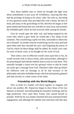Now those faithful ones to whom he brought the light went about immediately to put away all worldliness, rejoicing that they had the privilege of doing so for Jesus' sake. Not only so, but being of very generous mind, they provided him with a home, the best of food, and many of the good things of life; therefore he began to feel quite settled and found time now and then to steal away and examine the forbidden gifts which he had received while among his friends.

First he would open the little vial, and being tempted by the sweet odor which it gave forth, he would take a few drops of the ointment. This would bring a spell over him, noticeable to others but not to himself. At another time he would bring out his coins and look upon them until they dazzled his eyes: and forgetting the power of God by which all these things shall be added, he would crave only for more of those coins, as he thought for the work of God.

Then when a test of affliction would come upon him or his, he would secretly look to doctor books, pills and powders, although in his preaching he had told the faithful ones to trust in God alone. This naturally brought a cloud over his spiritual vision so that he could not easily get a message from God. Therefore rather than go before his followers with no message at all he had recourse to his philosophy and other forbidden books which he had quietly gathered and kept secretly in a dark corner of his study.

#### **Friendship with the World Begins**

Now as birds of a feather will flock together or magnets will attract one another, Mr. Hypocrisy began to draw those of his true likeness to himself, notwithstanding his beautiful teachings and his high profession. First came Miss Vanity who carried herself so proudly. With her he was simply charmed and soon announced their engagement; and although the faithful ones had been told that they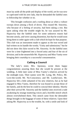must lay aside all the pride and display of the world, yet he was now so captivated with his new lady, that he demanded the faithful ones to fellowship her whether or no.

This brought confusion and a rustling about as when a vulture swoops down among a flock of doves. This roused Mr. Sincerity, who because of a feeling of security, had been taking a rest. But upon asking what the trouble might be, he was assured by Mr. Hypocrisy that the faithful ones for some unknown reason had become unruly, and were causing dissention, but that he would soon bring them to order again with a club which he kept for that purpose. This club was an instrument made to appear as the true sword and had written on its handle the words; "Unity and submission;" but he did not show this false sword to Mr. Sincerity. So the faithful ones were for a time frightened into a forced unity and fear of the sin of division; and in the meanwhile Mr. Hypocrisy and Miss Vanity were bringing their courtship to a successful consummation.

# **Calling a Council**

The lady's sister, Mrs. Apostasy, wrote them happy congratulations assuring them that she would be present at the wedding. A little later some of Miss Vanity's relatives arrived by the midnight train. Their names were Mr. Lying, Mr. Policy, Mr. Love-the-world, Mr. No-Conscience, and Mr. Lustful-eyes. Mr. Hypocrisy felt a little ashamed of his new relatives, but as he had engaged to Miss Vanity, therefore he was bound to accept those of her family, and do the best he could to conceal their identity. Shortly after their arrival Mr. Sincerity and the faithful ones received a rude awakening by strange muttering voices and a horrible stench which almost overwhelmed them. This stench came from the detestable things brought in the baggage of some of these relatives. Upon their asking Mr. Hypocrisy as to the trouble, he, with a smile and look of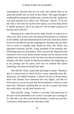astonishment, declared that all was well; and ordered them to be quiet and trouble him no more on this matter. This again brought a rustling about among the faithful ones, and this time Mr. Hypocrisy was quite puzzled as to what to do. "Because," said he, "if we use the club, it will only stir up the more inquiry as to this thing which is hidden among us, and if not, then we will be under suspicion of having tried to deceive.

Whereupon he called his newly made friends in council as to what to do. Now as they were very proud of his position as a minister to the faithful, and had looked forward to the time when they should by him be introduced into the congregation, therefore they put their wits to work to consider what should be done. Mr. Policy was appointed chairman, and Mr. Lying, president of the meeting, they both being expert in such matters. That very hour Mr. Hypocrisy had sustained a very severe attack of heart trouble, not for concern of the faithful ones, but because of the fact that ever since he had become friendly with Miss Vanity he had been troubled with misgivings as to his prestige and his purse, until now he realized that unless something were done he should lose both.

Then did Mr. Policy stand forth and begin to speak. "Brethren, this is a critical hour to which we have come, especially since Mr. Hypocrisy, our faithful kinsman, is about to be put to shame before those who hitherto have esteemed him very highly; and this we know that it is on our account that this humiliation is about to come upon him. Therefore anything that we can do to protect him from this awful shock, we feel duty bound to do."

Then said Mr. Lying, "I believe I can help if the particulars of the case can be presented to me so that I can make my coverings to fit. Then Mr. Love-the-world and his brothers, Lustful-eyes and No-Conscience, both agreed to do what they could.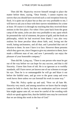Then did Mr. Hypocrisy recover himself enough to place the matter before them, saying, "Dear friends, I cannot express my sorrow that you should have received such a cool reception from my flock. It is quite out of place but as they are very profitable to me, I will have to ask you to bear with their narrow-mindedness for a time at least. Of course it is through my teaching that they received those notions in the first place. For when I first came back from the great camp of the saints, (who are also very profitable to me; upon which he presented the vial of ointment, the purse of gold, and the book on philosophy, which he had received from them) I was also very zealous for those peculiar ideas about faith, zeal, loving not the world, hating uncleanness, and all that; and I preached that sort of doctrine to them. So now I have it to face. However these presents which they gave me, since I began to give my attention to them, have made a different man of me; and now I personally can enjoy the pleasure of your honorable company."

Then did Mr. Lying say, "There is one person who must be got out of the way before we can hope for any success, and that is old Sincerity. I know him from of old. He is so ignorant as to worldly standards, still I have never yet known one of our schemes to escape his eye. Then he is so unmanageable he will go and blaze it out before the faithful ones, and go over to the great camp and even work havoc there unless we can forestall his work in some way."

Then Mr. Policy spoke up and said, "Now we all hate Mr. Sincerity very much, and among ourselves we know that he simply cannot be held in check; but that our moderation and love toward him might appear unto all, we must be careful of the wording with which we speak against him, that the faithful ones may be convinced that we are doing this work in the fear of God."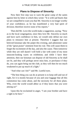# **Plans to Dispose of Sincerity**

Now their first step was to warn the great camp of the saints against him by letter in which they wrote: "It is with sad hearts that we are compelled to warn you that Mr. Sincerity is no longer worthy of your confidence, as he has manifested a very bad spirit of division; therefore receive none of his reports."

Then did Mr. Love-the-world make a suggestion, saying, "Now as to the local congregation, since they love Mr. Sincerity so much and have such confidence in him, we would only defeat our own plans to renounce him at present. Therefore I suggest that our beloved kinsman take the pulpit this evening, and administer some of the "great praise" ointment from his vial. This will cause them to forget the excitement of the day, and also the cause. Then tomorrow while they are still dazed I will hold a fair with some of my most innocent-looking wares on exhibition; and while I have their attention, then our kinsman can dispose of old Sincerity as he shall see fit, and they will perhaps never miss him, or perchance if they do, you can again bring out the club, as they will then be too much weakened to put up much of a fight."

"And what can I do?" said Mr. Lustful-eyes.

"The best thing you can do at present is to keep still and out of sight, for it is mostly because of you and your luggage that all this commotion has come about, and the necessity for all these plans. Why, even the world would abhor us if they knew that you were among us!"

Upon this he exclaimed in anger, "I am your brother and have a right to be here."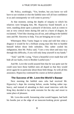Mr. Policy, soothingly, "Yes, brother, but you know we will have to use wisdom or else the faithful ones will all lose confidence in us and consequently we will come to poverty."

At that moment, seeing the depths of iniquity to which his relatives were bringing him, Mr. Hypocrisy found himself, as it were, standing alone upon a pinnacle of decision, such as comes to one at very critical times during life and in a burst of disgust, he exclaimed, "I feel like clearing you all out, and calling in the faithful ones and Mr. Sincerity to help. You are bringing me to ruin."

Whereupon Miss Vanity began to weep and told him what a disgrace it would be for a brilliant young man like him to humble himself before those little nobodies. This rather cooled his indignation, then Mr. Policy said, "I see a very short and easy way through this difficulty, if you will only keep yourself in my hands."

"And," said Mr. Lying, "I have a beautiful cover made that will hide all our faults, even to Brother Lustful-eyes."

And Mr. Love-the-world assured him that he was quite sure he could soon have those faithful ones all duped so that they would never again be so particular about those little things. So with all this assurance, Hypocrisy continued his course as before planned.

# **The Success of Mr. Love-the-World's Bazaar**

Next morning the faithful ones who had received Mr. Hypocrisy's dope the evening before, awoke feeling rather topheavy, and instead of attending to their usual interview with the King they decided to lay aside restraint for the day and resort to some place of pleasure.

Mr. Love-the-world, foreseeing what would happen, had built his booths just at the edge of an innocent-looking picnic ground.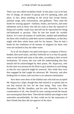There was one called sociability booth. In this place was to be had, free of charge, all manner of gossip and evil speaking, jokes and plays, in fact, about anything on the social line except hymns, spiritual songs, holy conversation, and godliness. Then came the booth for wearing apparel—fashions, freaks, and fancies, and some substitutes such as those who did not want to bear the reproach of being real worldly could wear and still not be reproached for being old-fashioned or peculiar. Then he had one booth for worldly honors. In it were all manner of certificates, medals and medallions for those who would lay aside their narrow-mindedness, so that they might with their whole heart seek for his honors. Then he had a booth for the exhibition of all manner of religions for those who were not inclined to buy his other wares.

So in all, his display was quite enticing to a company of heavyheaded, dim-eyed saints, and they forthwith set in to buy his goods, some at one booth and some at the other, according to their several inclinations. Of course, this was with the understanding that they should still be acknowledged by their pastor, Mr. Hypocrisy, who by this time was anxious for his flock to give attention to such things so that his own reproach might be removed. Also while they were thus engaged he had caught his adversary Mr. Sincerity, and after binding him in chains, had sent him to an unknown destination.

Now there were three of the faithful ones who had not accepted Mr. Hypocrisy's dope, though they had refused it so quietly that no one had noticed the fact for the time being. They were Miss Perception, Old Mr. Steadfast, and his wife, Humility. So to the consternation of all, who should be seen coming toward the bazaar next morning but these three. Then did the faithful ones begin to feel somewhat uncomfortable, for they could see by the expression of their friends that they did not approve of the show.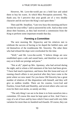However, Mr. Love-the-world put on a bold face and asked them to buy his wares. At which Miss Perception answered, "No, thank you; for I perceive that your goods are of a very shoddy character and do not have the King's seal upon them."

Then said Mr. Steadfast, "I am very busy this morning and have no time for your trifles;" and so answered his wife. And so they went about their business, as they had received a commission from the King to perform some important errands that day.

# **Forming a Committee**

The next morning Mr. Hypocrisy and his relatives met to celebrate the success of having so far duped the faithful ones; and rid themselves of the troublesome Mr. Sincerity. The other three who had refused the dope were overlooked for the time.

"Well," said Mr. Love-the-world, "I believe things are now established upon a safe and sound basis, and therefore we can rest easy as to both our prestige and purse."

"Not at all," piped up Mrs. Apostasy, who had arrived during the night, and to whom a full statement of the facts had been given. "I have had much experience, and know that this loose-end way of running church affairs is not practical after they have come to the point where we now stand. For you know Old Sincerity has a great number of relatives of like disposition with himself, and they will give us endless trouble. There are his cousins, Love-God and Fearless, Great-Faith and Humility, and several others who care not even for their own necks, so unruly are they.

"The only thing I can see to be done is to form ourselves into a committee. Of course this must be kept quiet at first. And I have a copy of a set of laws and by-laws which I have used with very little variation for more than six hundred such boards. Of course, they can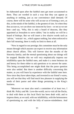be elaborated upon after the faithful ones get more accustomed to them. They are worded in such a way that they can appear as anything or nothing, just as our convenience shall demand. Of course, there will be some who will accuse us of forming a sect, as this, in the minds of the faithful, is the greatest of sins. So when they thus accuse us, we can show our innocent by-laws—or not as we see best—and say, 'Why, this is only a board of deacons, like they appointed at Jerusalem to serve tables;' but in reality we will be a board of bishops. But we will insert a few elusive words such as 'advise,' 'restrain' etc., which appear nothing, but when enforced to their full meaning, there is really no limit to them at all.

"Now in regard to our prestige; this committee must be the only means through which anyone can expect to receive any information about church affairs. This will forever shut the mouths of the Sincerity family; and the eternal questioning about our doings will be stopped. Besides this we will very emphatically impress our infallibility upon the faithful ones, and make it a most heinous sin and heresy for them either to ask questions or to answer the same. This being accomplished one might think that the purse question were also settled. But there is another difficulty concerning this matter, as you will learn by experience with the faithful ones here. Now since they have taken dope, and invested in our friend's wares, you will see that they will find much less pleasure in supplying the needs of their pastor and other things pertaining to the King's business.

"Moreover we must also send a committee of at least two, I think Mr. Policy and Mr. Love-the-world, out to visit all the flocks, to deal with them as this local flock has been dealt with; and to impress them, as we said, with our infallibility, with the heinousness of questioning us, and with the folly of narrow-mindedness. And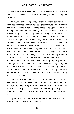you may be sure the effect will be the same in every place. Therefore some new scheme must be provided for money-getting lest our purse suffer loss.

"Now, one of Bro. Hypocrisy's greatest sorrows during the past years has been that although he was a great man, still Old Sincerity has been receiving much the more funds. And upon our friend's making complaint about the matter, Sincerity answered: 'Give, and it shall be given unto you; good measure; And there is that withholdeth more than is mete, but it tendeth to poverty;' and— 'Give of thy gold, though small thy portion be: Gold rusts and shrivels in the hand that keeps it; It grows in one that opens wide and free; Who sows his harvest is the one who reaps it.' Besides that, Sincerity said in a most insinuating way that God gave him gold to use, not to love; and it came to his hands as if by magic. Now this is all right to preach to the flocks, but our friend, Hypocrisy, thinks as far as he is concerned that the Scripture, 'Strong men retain riches,' is more applicable to him. And now that we may stop the gold from running through the hands of this open-handed Sincerity family, we must see that it all comes to our hands, so that we may have full control, and thus the unruly ones can be finished off by starvation, and our honorable relatives, who otherwise would receive nothing, will be well supplied.

"Now the first step will be to have it all under our control; but lest under the circumstances there be not much to control, we must make giving compulsory, or at least a sort of article of faith so that there will be a stigma upon the one who does not give his part; and of course it won't be much trouble to know just what that should be."

Upon this the meeting was adjourned as there was not time to discuss other subjects until a later date.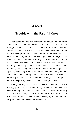# **Chapter II**

# **Trouble with the Faithful Ones**

After some time the plan was found to be working well in the little camp. Mr. Love-the-world had held his bazaar every day during the time, and had added considerably to his stock. Mr. No-Conscience and Mr. Lustful-eyes had become quite at home, in fact they had been promoted in the assembly with the assurance that if any of the Sincerity family undertook to give them trouble, that such troublers would be branded as unruly characters, and not only so, but as most unpardonable liars; who had persecuted the faithful, and thus they would be put out of action forever. The preachers, Mr. Hypocrisy, Mr. Lying, and Mr. Policy, under the tutoring of Mrs. Apostasy, were busy teaching the faithful ones concerning their past folly and fanaticism, telling them that there was a much broader and easier way than by that of the cross, which always brought reproach and really kept many away who otherwise might be won.

Finally one day Miss Vanity noticed that her intendant was looking quite pale, and upon inquiry, found that he had been eavesdropping and had heard a conversation between those unruly ones, Miss Perception, Mr. Steadfast, and his wife, Humility. There was also with them a cousin of Mr. Sincerity by the name of Mr. Holy Boldness; and the conversation went thus: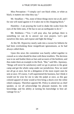Miss Perception—"I simply can't see black white, or white as black; it matters not what they say."

Mr. Steadfast—"No, none of these things move me at all, and I for one will stand against it if it takes me to the chopping block."

Humility—I am praying the Lord to shake the scales from the eyes of the little ones, if He has to use an earthquake to do it."

Mr. Boldness—"Yes; I will pray also, but perhaps there is something we can do to answer our own prayers. Let's quit ourselves like men, and expose and fight the thing."

At this Mr. Hypocrisy nearly sank into a swoon for hitherto he had been overlooking those insignificant ignoramuses, as he had always called them.

Upon this news the committee was hastily called together to consult as to what should be done with these troublers. The decision was to tar and feather them as liars and accusers of the brethren; and thus make them an example to the flock. "But," said Mrs. Apostasy, "things will never be satisfactory until we go in person to the great camp and get the whole camp under our jurisdiction. Now we need not all go at once, but let a delegation of the most expert ones be sent at once. Of course, I will superintend the business, but I think it would not be wise for me to take the pulpit at once, as this gay colored apparel of mine would at first bring a shock over the white robed company. Therefore appoint Mr. Policy to attend me as chief speaker, as we all acknowledge his pleasant manner, his wide knowledge, and his ability at turning his knowledge to best advantage for us."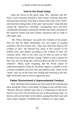#### **Visit to the Great Camp**

Upon the arrival at the great camp, Mrs. Apostasy and Mr. Policy were extremely pleased to find a better welcome than they had expected, and they were able to discern that some of the "main" ones had been taking some of the same "great praise" dope that had caused Mr. Hypocrisy's downfall. Consequently there had been considerable disturbance among the faithful ones there, and some of the Sincerity family had been quietly renounced and set aside in other parts, also.

Mr. Policy thereupon was given the freedom of the pulpit. Now he, like his father, Beelzebub, was very expert at twisting scriptures. His first sermon was, "That your faith may stand in the wisdom of men." He showed how many of the customs of the faithful ones were neither according to the wisdom of men, nor common sense. Then in his witty way he held up some of their peculiar views to great ridicule, saying, "Where is your scripture for this? See, you are doing this, and have given up that for no reason whatever." Many, quite forgetting that the Word cannot be understood properly except by the Spirit, began to consider it from a human standpoint and were thus persuaded by him. Some of the "main" ones sat on the front seat smiling and rejoicing at the new light which had come at such an opportune time.

# **Father Discernment's Unprecedented Conduct**

Now old Father Discernment just then entered the meeting and upon seeing Mr. Policy in the pulpit, he began to roar out like a lion: "Beware! Beware! faithful ones, this is a compromise of the devil. Flee for your lives! Do not lend your ears to this poisonous talk." At this he, with several other of the fathers, sprang from their seats and with a large company of faithful ones, withdrew to a place apart.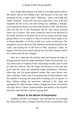Now Father Discernment was held in very high esteem both by the fathers and by the faithful ones, and because of this they had presented to him a castle called "Influence," upon a very high hill called "Position." In this hill was also a gold mine. Now as he had forgotten all this in his zeal and roaring out, suddenly a thoughtarrow pierced his head. It was shot from the bow of Mr. Self Interest, who was the son of Old Honorable and his wife whose parental name was Covetous. This arrow turned his head in the direction of his estate, and there to his great sorrow he saw a party from the camp going thither as if to capture it. Now he had his choice either to do as Moses did (Heb. 11:24-26), or like Lot's wife, to look back. The temptation was too much for him, therefore he betook himself to the castle, and seizing one of the bows of Mrs. Apostasy's make, he began to hurl the arrows thick and fast into the little company which he so lately had led out of danger.

Now for a long time the faithful ones had formed the habit of leaning entirely upon the understanding of Father Discernment, as it was much easier to inquire of him concerning a matter, than to seek an interview directly with the King; and because of this they had given him the castle and somewhat undue prominence. Therefore when they saw his unprecedented conduct they were thrown into utter confusion. Some took it for granted that he had suddenly seen his mistake in leaving the camp and in making such an uproar, so they, without asking any questions, returned to the camp and apologized for their strange conduct, though they knew not exactly why they did so. Others scattered hither and thither as the missiles from the castle fell thick and fast among them.

#### **Return to the Mount of Inspiration**

Suddenly old Bro. Circumspect who had kept his wits through the whole affray, blew a trumpet which he always carried about with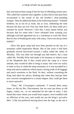him, but had not been using of late for fear of offending certain ones. This called the scattered ones together, as they had in time past been accustomed to the sound of the old brother's clear-sounding trumpet. Then he addressed them in the following manner: "Faithful brethren, let us not be as fools, but as wise, redeeming the time because the days are evil. Fear not, little flock, for there shall yet a remnant be saved. However I feel that I must repent before you because that for some time I have refrained from warning you, although God had appointed me as a watchman to warn His flock. But for fear of breaking the unity with many, I have not always been faithful."

(Now this great camp had once been pitched on the top of a mountain called Inspiration Mount. But of late years it had been gradually moved downward toward a valley called the valley of Morality. This was done not through any bad motive, but a man called Mr. Worldly-Wise had made it his business to inform some of the Shepherds that if they would pitch the camp in a lower altitude, they would be able to bring in many who were too sickly or lame or lazy to climb the steep mountain; as it was ascended by a steep and narrow pathway which meant a laying aside of all luggage and much weariness to the flesh. So they, without consulting the King, had taken his advice, thinking that when they had got their new converts strengthened to a certain degree, they could get them to move upward.)

"Then," Mr. Circumspect continued, "I warned them many times, so did my Bro. Discernment, but we were put down as old fogies, cranks, etc., so we submitted for the sake of unity. I also found that some whom you would least suspect, were troubled with an affliction of the eyes, and would not use the King's eye-salve (Rev. 3:18), but preferred moving down into the fogs, as the sun is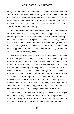always bright upon the mountain. I warned them that the Compromise family would come along and capture them sometime, but they said, 'Impossible! Impossible! How could we be so deceived after knowing so much of the truth!' But now you see, no one can descend to this valley and be safe. So let us hasten to our rightful place on the mountain top."

Now on this mountain top was a very large Rock in which they could hide safely as in a fort, and though it appeared as a most common place mount from the lowlands, still to those on the top it presented a most pleasing spectacle. There was a large lake of crystal waters which was supplied by a river that gushed from underneath the great Rock. Then there were fruit trees in abundance which supplied both food and medicine (Rev. 22:1, 2), and the landscape was of unearthly beauty.

The little faithful ones were happy to find themselves once more in this place of safety. Still some of them were perplexed because of the conduct of Bro. Discernment. Whereupon they inquired of Bro. Circumspect who oftentimes called upon Bro. Spiritual Understanding to help him in explaining difficult problems. (By the way, Bro. Understanding with a few others had not followed the rest of the camp into the valley.) "Now as to Bro. Discernment—for although he had received that title, still he had a human nature which is liable to err. Our adversary knowing this, had prepared to overthrow him at a critical moment, by loading him with some of the honors of the valley, thus hoping to keep him there, and also to confuse those who had depended upon his wisdom.

"However," continued Bro. Circumspect, "wise men of all ages have said that they always found it safest to act upon their first impression. They say that is God's voice, and the afterthoughts are the human reasoning. Now we all know that our brother's first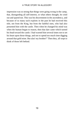impression was so strong that things were going wrong in the camp, that, disregarding all self-interest, or what others thought, he cried out and spared not. This was his discernment in the ascendency, and because of so many such exploits in the past he had received this title, not from the King, but from the faithful ones, who had also presented him with the castle. Then when he changed his mind was when the human began to reason, then that dart came which turned his head toward the castle. I had warned him several times not to set his heart upon those things, and not to spend too much time digging around that gold mine. But alas! my brother!" Then they, all wept to think of those left behind.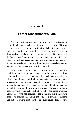# **Chapter III**

# **Father Discernment's Fate**

After the great upheaval in the valley, did Mrs. Apostasy come forward and assert herself to set things in order, saying, "Now as you see, there can be no order without my help." (Though she too well knew that this was a lie, for she knew the true cause of the discord.) But now she and her friends had succeeded in doping with the "great praise" ointment most of the congregation, so that they were too much confused, and stupefied to render her any answer, much less resistance. Then did they prepare themselves against another possible danger from Mr. Discernment.

Now it was in this manner that they accomplished this task. First, they gave him the family dope; then did they punch out his eyes; and then because of his name, his castle, and the hill upon which it stood, they could find no more suitable person to appoint as general overseer, and chief inspector of affairs. This appointment pleased him so much that though he was stone blind, he imagined himself to have infallible eyesight; and daily, he could be found upon the walls of his castle, calling out in boastful tones, warnings against those who had escaped to the mountain, and to those who had not yet escaped: "Ho! Fools, can't you see everything is all right, and just as it always has been? See this great camp which we have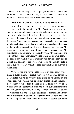founded. Let none escape, lest we put you in chains;" for in this castle which was called Influence, was a dungeon in which they bound discontented ones, and refused to let them go.

# **Plans for Curbing Zealous Young Ministers**

Now did Mr. Hypocrisy, his bride, and all her before named relatives come to the camp to help Mrs. Apostasy in her work, for it was for their special convenience that this binding was being done. Having already attended to those things which concerned their prestige and purse, still Mr. Hypocrisy felt somewhat uneasy as to the future. Whereupon he was given leave to speak. Now this was a private meeting as it even then was not safe to divulge all his plans to the whole congregation. However, besides his relatives, Mr. Discernment who was now blind, was admitted, also Mr. Importance, Mr. Efficacy, Mr. Worldly-wise, Mr. Anything, and some others of the "trustworthy" class. Then did he warn them of the danger of young shepherds who may rise here and there and do a great deal of harm to his cause, even before he should be able to find it out. "Now if we would be safe, they must not be allowed to run at large.

"Now we had one very notable case, away back before we got things in order, in Saul of Tarsus. Why! He just did what he thought God wanted him to do without even going up to Jerusalem and letting the Jews overhaul him or put any strings on him because of his peculiar views, which he said he had gotten by revelation. Neither would he confer with flesh and blood, but went right off to preaching to the heathen without any sanction from us." Of course, we renounced him and sent out a delegation to hamper him all they could, but we simply couldn't manage him. Then we have had some others who persisted in following his advice. Of course, during the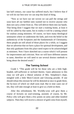last half century, our cause has suffered much, but I believe that if we will do our best now we can stop this kind of thing.

"Now as we have our net woven we can pull the strings and soon have all our faithful ones warned not to receive anyone who does not carry a letter from us. This will deliver them into our hands. That being done I suggest that we start a training home, at least it will be called by that name, but in reality it will be a taming school for zealous young ministers. Of course, we have many theological seminaries where we undermine the faith, and even the belief in the authenticity of the Scriptures and the fundamentals of Christianity; these people are still afraid of those places for a while, so I suggest that we advertise that we have a place for spiritual development, and that only graduates from this place need expect to be acknowledged as ministers. Now I have sketched out a course which I will present for improvement and criticism. Now we will have different natures to tame, therefore we will need to use several distinct methods to bring about the desired result."

#### **The Taming School**

Grade I. "This grade will be for those who are a little highheaded, self-sufficient or inclined thereto. Upon admission to this class we will give a liberal solution of Mrs. Simpleton's dope, mingled with a little More-Conceit and Glorying powder. If one should refuse this mixture he will be demoted at once to grade three, the by-laws of which we shall soon read. But in nine cases out of ten, they will take enough at least to give us a hold on them.

After this refreshment, Mr. Worldly-wise will give them a course of lectures on soul-winning, assisted, of course, by Mr. Policy who will give them a few points on unity and other kindred subjects. Then they will receive a shower of gold coins from myself,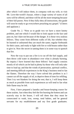after which I will induce them, in company with my wife, to visit Mr. Love-the-world's bazaar, where a large variety of wares of all sorts will be offered, and these will be all the more tempting because of their full purses. Now if they fully obey all instructions, this grade will soon be ready to go everywhere preaching my gospel." (Cheers and applause.)

Grade No. 2. "Now as to grade two we have a more knotty problem, and one which I would like to look square in the face and pass on, but I dare not because of the danger. It is those very zealous fellows. They come from different walks of life, but whether they be learned or unlearned they are much the same; regular firebrands for their cause, and ready to fight with fire or wild beasts rather than to give in. Now the secret in taming them is in some way to quench that fire.

Now the way to put out a fire is to cut off the fuel supply, and then throw cold water in abundance over what is already burning. By inquiry I have learned that these fellows' fuel supply consists mostly of oil which can be had in plenty by those who will only take time to load up; and that the winds of persecution, spiritual conflict, and meeting difficult experiences in the King's business tend to fan the flames. Therefore the way I have solved this problem is as I cannot cut off the supply of oil, to deprive them of time for refilling. Then I try wet blankets for doing the rest; that is, I will keep them as much as possible from such experiences as will tend to fan what little flame may be left.

First, I have prepared a laundry and house-keeping course for these zealots. Just when they feel the fire burning the hottest and can scarcely stay in the house, I will tell them that they must be consecrated to wash, iron, sweep, tend babies, and be general servants for my establishment and my first grade graduates.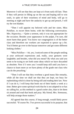Moreover I will see that they are kept at it from early till late. Then if they will persist in filling up on the run and hoping still to win souls, in spite of their weariness of mind and body, will go to meeting at night and have the audacity to get up and preach, I will try the wet blanket.

"Then I will appoint my beloved wife and her sister, Miss Pickflaw, to escort them home, with the following conversation. Mrs. Hypocrisy,—'Quite a sermon, only it was not appropriate for the occasion. Besides your appearance in the pulpit, I'm sure, did more harm than good. You know our congregation is of the better class and therefore our workers are expected to spruce up a bit. You'd better go over to the bazaar tomorrow and get some different looking clothes.'

"Miss Pickflaw—'oh, yes, I noticed some of the people smiling at your awkward expressions and, really, your gestures were laughable; and besides, what did you mean? By what you said you seem to be trying to set forth some ideas which we have discarded as obsolete. Now if I were you I would keep still until you have a chance to learn more as we have plenty of the grade one class who can do the preaching.'

"Then I will see that they overhear a good many like remarks, while all the time we shall see that they are kept, too busy for replenishing which is done by being still and reading their law. Now if I can do it, I will keep that book out of their hands a week at a time. Better give some spiritual work that he is not adapted to or has no calling for, as this method is a good cooler also, than to let them sit around and read that book and pray. My friend, Mrs. Strenuous, will help arrange those matters."

All agreed that this course, if long enough, would likely prove successful. "If course No. Two proves successful in its purpose, that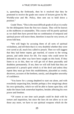is, quenching the firebrands, then be it resolved that they be promoted to receive the grade one course of lectures given by Mr. Worldly-wise and Mr. Policy, then sent out to hold down a position."

Grade Three, "This is the most difficult grade of all as it is really for the delinquents from the first two classes. They will be known as the stubborns or untamables. This course will be purely spiritual as we shall then have proved that no combination of temporal and spiritual power will move them, therefore it must be very severe, of seven fold heat.

"We will begin by accusing them of all sorts of spiritual wickedness, and tell them that it is very doubtful whether they were ever saved at all, much less called to preach. Then we will suggest that they had better repent, get married, of course to the wrong person, and settle down for life. For many who could never be defeated in any other way have been caught on this hook. If they listen to us in this, then we will get rid of them peaceably and doubtless permanently. If not, then we will still hold that they are possessed of a preach spirit which is of the devil and unless they repent they must go from this establishment, placarded as crooks, deceivers, accusers of the brethren, unruly, and altogether unworthy of confidence.

"You know for a young shepherd to start out alone, and with everybody suspecting him, besides perhaps a few misgivings about his own spirituality, which we will be able to fasten upon him, will make the future look somewhat hopeless, besides affecting his own power and freedom.

"Of course at one time such people could be dealt with by torture and inquisition, but since the laws do not allow us to use those any more, we have to use spiritual weapons which do the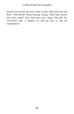desired work slowly but more surely as they affect both soul and body." Then did Mr. Policy interrupt, saying, "And if they survive this course, what?" after which there was a pause. Then Mr. No-Conscience said, "I suppose we will just have to take the consequences."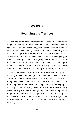# **Chapter IV**

# **Sounding the Trumpet**

The committee had no more than finished their plans for getting things into their kind of order, than they were disturbed one day by a great blast of a trumpet sounding from the heights of the mountain which overlooked the valley. They had, of course, taken for granted that those insignificant folk who had made their escape, had been scattered to the four winds and would never have the courage to give trouble to such a great company of great people as themselves. There is something about the mist of this valley which causes the objects therein to appear much taller than they really are, so that a very ordinary person appears as a walking giant especially to himself.

However several of the little faithful ones had already found their way to the mountain top, where, they found some of the Holdfast family who had always remained there at home, and who, upon giving them welcome and hearing the news from the valley, had set to blowing the trumpet to call any stragglers who might be groping their way up from the valley. Many times had the Apostasy family tried to destroy that most annoying trumpet, but it was set up in such a high altitude and in such an impregnable position, that they had never been able to do ought but for a season, to in some way, deceive the trumpeters for a short time into the idea that it was no longer necessary.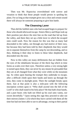Then was Mr. Hypocrisy overwhelmed with sorrow and vexation to think that those people would persist in spoiling his plans. For as long as that trumpet gives out a clear and certain sound there will always be someone preparing to give him battle.

# **The Cleansing Laver**

Then did the faithful ones who had escaped begin to prepare for those who should afterward escape. Sisters Mercy and Hope took up their position just above the mist line on the road that led up from the valley, and there they set up a little laver in which the escaped ones could wash. Now the reason for this was that as many had descended to the valley, not through any bad motive of their own, but because they had been told by their shepherds that they would sin to separate themselves from the camp by not descending, and so they, thinking it their duty to listen to these false shepherds, had descended into the mist.

Now in this valley are many defilements that are hidden from the eyes of the inhabitants because of the thick fog which in time forms as scales over their eyes. Therefore unless a very strong light is turned upon them, they can never by any means be persuaded that they are at all changed from what they were while on the mountain top. So when upon hearing the trumpet they undertake to escape, after a difficult climb upon their hands and knees up through the mist, they come to daylight point. There the sunlight breaks upon them. Just at that point is also a mile-post with the following inscription written upon it: "Who shall ascend into the hill of the Lord? or who shall stand in his holy place? He that hath clean hands, and a pure heart; who hath not lifted up his soul unto vanity, nor sworn deceitfully." Upon seeing this sign they proceed to take out their mirrors (James 1:23) which they have carried with them all the time but had not been able to use to advantage, owing to their partial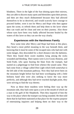blindness. There in the light of the Sun shining upon their mirrors, they are able to discern many spots and blemishes upon their person; and then are they much disheartened because they had allowed themselves to be so deceived, and would scarcely have courage to proceed further, were it not for Mercy and Hope who then appear upon the scene, to refresh them and help them to the laver where they can wash and be clean and sent on their journey. Also those whose eyes have been very badly affected become healed by the waters of this laver so they can see the way clearly.

# **Experiences with the Harshness Family**

Now some time after Mercy and Hope had been at this place, they heard a most pitiful moaning in the way beneath them, and knowing that it must be some of the escaped ones who had met with some danger, they descended for a short distance into the darkness. There they found three sweet maidens lying among the rocks wounded and bleeding. Their names were Love-Good, Honesty, and Seek-Truth, who upon hearing the blast from the trumpet, had started on a pilgrimage to find from whence the sound came. They had come from a village called Dim Light which lieth somewhat to the left side of the mountain pathway. Now they had never been on the mountain height before but had been worshipping with a little holiness band who were also seeking to know the way more perfectly, and although they had never reached daylight point, they were striving to find the way thereto.

Now as these three maidens were feeling their way up the mountain side, they had come upon a cave at the mouth of which sat a man in the garb of the Shepherds. Then they inquired of him the way to the place where the trumpet was being sounded. He then told them that he had been stationed at that place for the express purpose of entertaining inquirers and helping them on their way to the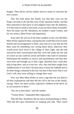heights. Then did he call his mother and two sisters to welcome the new-comers.

Now the truth about this family was that they were not the King's servants at all, but they were of the Apostasy family, and had been stationed at that place to turn pilgrims back into the darkness, or if they had no mind to turn back, to put an end to them if possible. Now his name was Mr. Harshness, his mother's name Cruelty, and his two sisters, Mote Picker and Inquisition.

Soon after the arrival of the three maidens at the cave did Miss Mote Picker approach them, saying that she would like to be of some benefit and encouragement to them, and went on to say that she felt there must be something very wrong about them, otherwise they would never have lived in the village of Dim Light, and she had noticed by their conversation that they were still under the law and of course no one could be saved and believe that kind of nonsense. Whereupon the maidens in sorrow and astonishment said that they were born and brought up in Dim Light, therefore how could they help living there, and as to the law, why, they had been taught from childhood that it was their Christian duty to keep the Sabbath and to do other things contained in the law; but that if they knew that it was God's will, they were willing to change their ways.

Now was Miss Mote Picker in such a rage that she was deaf to all their explanations and then did she call to the rest of the family, saying, "Here, see these crooks, imposters, children of the devil, let us rid ourselves of them."

"No; let us beat them," said the mother.

"Torture them," responded Miss Inquisition.

Then the Bro. Harshness did say many insulting things to them. Then did they give themselves to weeping and said, "How much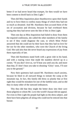better if we had never heard that trumpet, for then would we have been content to dwell back in Dim Light."

Then did Miss Inquisition place thumbscrews upon their hands and try to force them to confess many things of which they had not so much as dreamed. And Mr. Harshness then accused them of the sin of accusation and division, because he had overheard them saying that they had never seen the like of this in Dim Light.

Then one day as Miss Inquisition had failed to draw from them the required confession, she called the other members of the family to see if they could diagnose the case, to which Mote Picker answered that she could see by their faces that they had no love for her nor for the other members, who were the Church of the living God. She said also that she never heard any expressions of joy from them especially of late.

Then did Harshness stand forth with a great club in his hand, and with a roaring voice that made the maidens shrivel up in a corner, "If you don't love us, we'll beat you until you do; and more than that, if I don't hear you take to shouting 'Glory' soon, I'll raze you to the ground."

Now their quietness had caused Mr. Harshness much anxiety, because he liked in all outward things to imitate the camp at the mountain top. In fact, this family did dress so plainly that at first sight they would be mistaken for one of the faithful ones; and so did they in many other of the outward ordinances.

This they did that they might the better draw into their cave those pilgrims to whom Mr. Love-the-world's bazaar did not appeal. For even in Dim Light the people had light on the dress subject, and there have been pilgrims all along who could not be enticed into that bazaar.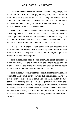However, the maidens were too sad to shout or sing for joy, and they were too sincere to feign joy, so they said, "How can we be joyful in such a place as this?" This saying, of course, cast a reflection upon the work of the Harshness family, and therefore did they cast the maidens out, but not until they had beaten them, cut them with sharp arrows, and broken them.

Then were the three sisters in a most pitiful plight and began to say among themselves, "Would that we had been content to stay in Dim Light, for now we will be ashamed to return." "And," said Seek-Truth, "I cannot say that I am content to return there, I still believe that there is something better than we have yet seen."

At this they did begin to look about them still moaning from their wounds and bruises. And a short way above them did they discover a row of white pillars as of a boundary line, and upon each of the pillars was an inscription.

Then did they read upon the first one: "And it shall come to pass in the last days, that the mountain of the Lord's house shall be established in the top of the mountains, and shall be exalted above the hills: and all nations shall flow into it." (Isa. 2:2.)

Then did they perceive that they were still off the mountain here referred to. This would have been very disheartening had they not at that moment seen two figures coming toward them, and in the most gentle tones offering to help them up the pathway. Then were their hearts comforted and well-nigh overjoyed to find the way. And then did Mercy lead them to the laver while she and Hope bound up their wounds. Then did they lead them into the camp of the faithful where they received such a welcome that they forgot all their former sorrows.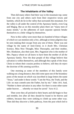# **The Inhabitants of the Valley**

Then did many others find their way to the mountain top; some from one city and others each from their respective towns and hamlets, which do lie in the valley that surrounds this mountain. For the valley is all under the control of the Apostasy family, even Gog and Magog. But as on this morality plain there are "many men of many minds," so the adherents of each separate opinion betake themselves to a little village by themselves.

Now in this valley were more than six hundred of these villages of which we can mention only a few, although at times pilgrims may be seen making their escape from any one of them. There was one village by the name of Anti-Christ; in it dwelt Mrs. Christian Science, Miss New Thought, Miss Theosophy, and their mother, Mrs. Hinduism, also their aunt, Mrs. Paganism who is the mother of Mrs. Papacy whom we all know to have been the mother of all the Apostasy family. Now the dear people of this village believe that salvation is within themselves, and although they speak of the Jesus Christ in whom their cousins profess to believe, still they do reject the doctrine of His atoning sacrifice.

One morning as some of the members of this family were walking out a long distance, they did come upon one of the boundary posts of the mount on which was inscribed in large letters the name "Jesus," and under it these words: "I am the Way, the Truth, and the Life: no man cometh unto the Father, but by me." John 14:6. And, "Neither is there salvation in any other: for there is none other name under heaven . . . whereby we must be saved." Acts 4:12.

Then were they all pricked to their hearts and did begin to fear and tremble, lest after all they should be found to be thieves and robbers, because they were seeking to climb up some other way. Then did they discover a little pathway, from the post which led to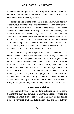the heights and brought them to the camp of the faithful, after first having met Mercy and Hope who had ministered unto them and encouraged them in the way of truth.

There was also a camp of Israelites in this valley, who not only rejected Jesus but who were building their hopes upon the works of the law. Then was there also a sister village called Good Works. Some of the inhabitants of this village were Mrs. Philanthropy, Mrs. Social-Reform, Mrs. Much-Talk, Mrs. Make-a-show, and Mrs. Formality. Now these ladies had worked together in harmony for many years. They had been especially helpful to the Apostasy family in keeping up the expense of their camp; and in exchange for their labor they had received many promises of everlasting bliss in the world to come, and much praise in this world.

Now one day a good Shepherd did come to their town and exhorted them to flee to the mountain, as their city was soon to undergo a severe earthquake and fire; and all of their good works would never be able to save them. "For," said he, "it is not by works of righteousness that we shall be saved, but by believing in the mercy of the Son of God. For this is the work of God, that ye believe on the Son of God." Then did some of their company flee to the mountain, and when they came to daylight point, they were almost overwhelmed to find that not only had their works been left behind, but that they had many blemishes which had to be cleansed away in Mercy's laver, before they were fit company for the faithful ones.

# **The Heavenly Vision**

One morning while it was still dark, a shining One from above did enter the camp and awaken old Brothers Faithful, Witness, and Prophesy, and told them to follow Him. This they did and He led them to a very high crag called Revelation Point and there did they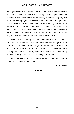get a glimpse of that celestial country which lieth somewhat near to this point. Then did such a glorious light shine upon them, the likeness of which can never be described, as though the glory of a thousand flaming, golden sunsets had in a moment burst upon their vision. Then were they overwhelmed with ecstasy and emotion, while o'er the vale which intervened a chorus as of a thousand angels' voices was wafted to them upon the zephyrs of that heavenly world. Then were their souls so thrilled with joy and devotion that they fell prostrated before the presence of His majesty.

Then did the shining One bid them return to the camp, to strengthen their brethren; "For now have you seen the glory of the Lord and your souls are vibrating with the harmonies of heaven's music. Return unto them," I say, "and hold a convocation, and a reading of the law of the Lord, that they may be edified and built up in the most holy faith, and in a knowledge of the truth."

Now the record of this convocation which they held may be found in the annals of Mt. Zion.

—Lottie Jarvis

# **The End**